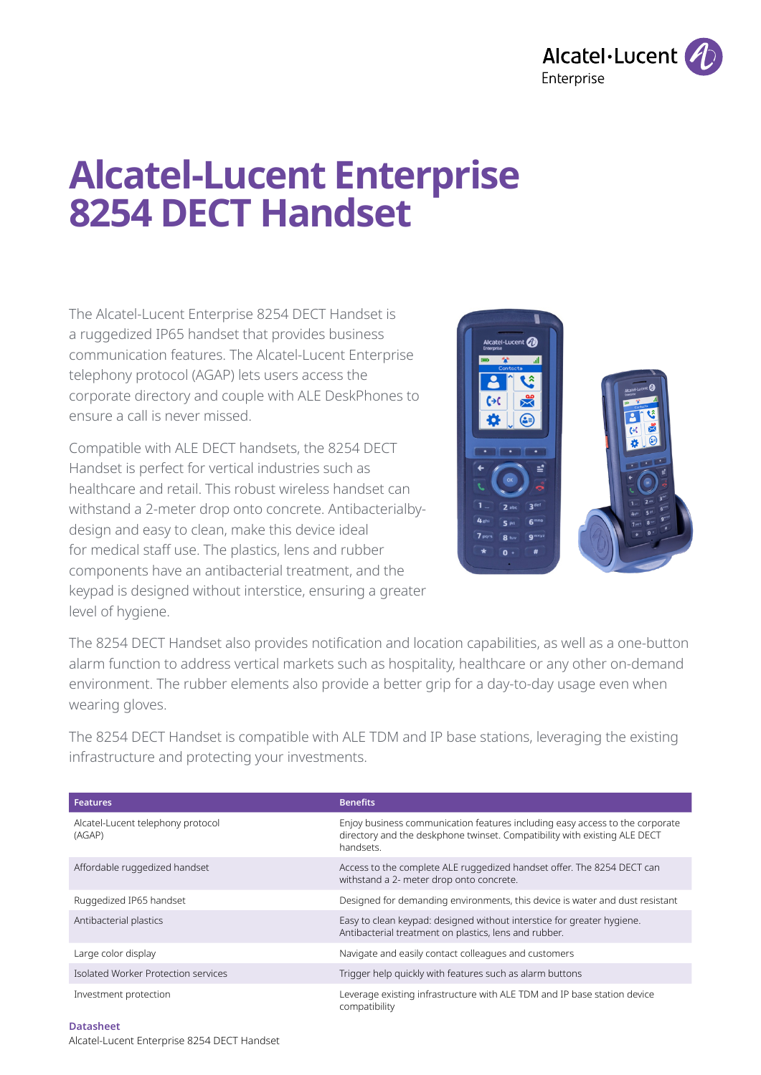

# **Alcatel-Lucent Enterprise 8254 DECT Handset**

The Alcatel-Lucent Enterprise 8254 DECT Handset is a ruggedized IP65 handset that provides business communication features. The Alcatel-Lucent Enterprise telephony protocol (AGAP) lets users access the corporate directory and couple with ALE DeskPhones to ensure a call is never missed.

Compatible with ALE DECT handsets, the 8254 DECT Handset is perfect for vertical industries such as healthcare and retail. This robust wireless handset can withstand a 2-meter drop onto concrete. Antibacterialbydesign and easy to clean, make this device ideal for medical staff use. The plastics, lens and rubber components have an antibacterial treatment, and the keypad is designed without interstice, ensuring a greater level of hygiene.



The 8254 DECT Handset also provides notification and location capabilities, as well as a one-button alarm function to address vertical markets such as hospitality, healthcare or any other on-demand environment. The rubber elements also provide a better grip for a day-to-day usage even when wearing gloves.

The 8254 DECT Handset is compatible with ALE TDM and IP base stations, leveraging the existing infrastructure and protecting your investments.

| <b>Features</b>                             | <b>Benefits</b>                                                                                                                                                        |
|---------------------------------------------|------------------------------------------------------------------------------------------------------------------------------------------------------------------------|
| Alcatel-Lucent telephony protocol<br>(AGAP) | Enjoy business communication features including easy access to the corporate<br>directory and the deskphone twinset. Compatibility with existing ALE DECT<br>handsets. |
| Affordable ruggedized handset               | Access to the complete ALE ruggedized handset offer. The 8254 DECT can<br>withstand a 2- meter drop onto concrete.                                                     |
| Ruggedized IP65 handset                     | Designed for demanding environments, this device is water and dust resistant                                                                                           |
| Antibacterial plastics                      | Easy to clean keypad: designed without interstice for greater hygiene.<br>Antibacterial treatment on plastics, lens and rubber.                                        |
| Large color display                         | Navigate and easily contact colleagues and customers                                                                                                                   |
| Isolated Worker Protection services         | Trigger help quickly with features such as alarm buttons                                                                                                               |
| Investment protection                       | Leverage existing infrastructure with ALE TDM and IP base station device<br>compatibility                                                                              |

**Datasheet**  Alcatel-Lucent Enterprise 8254 DECT Handset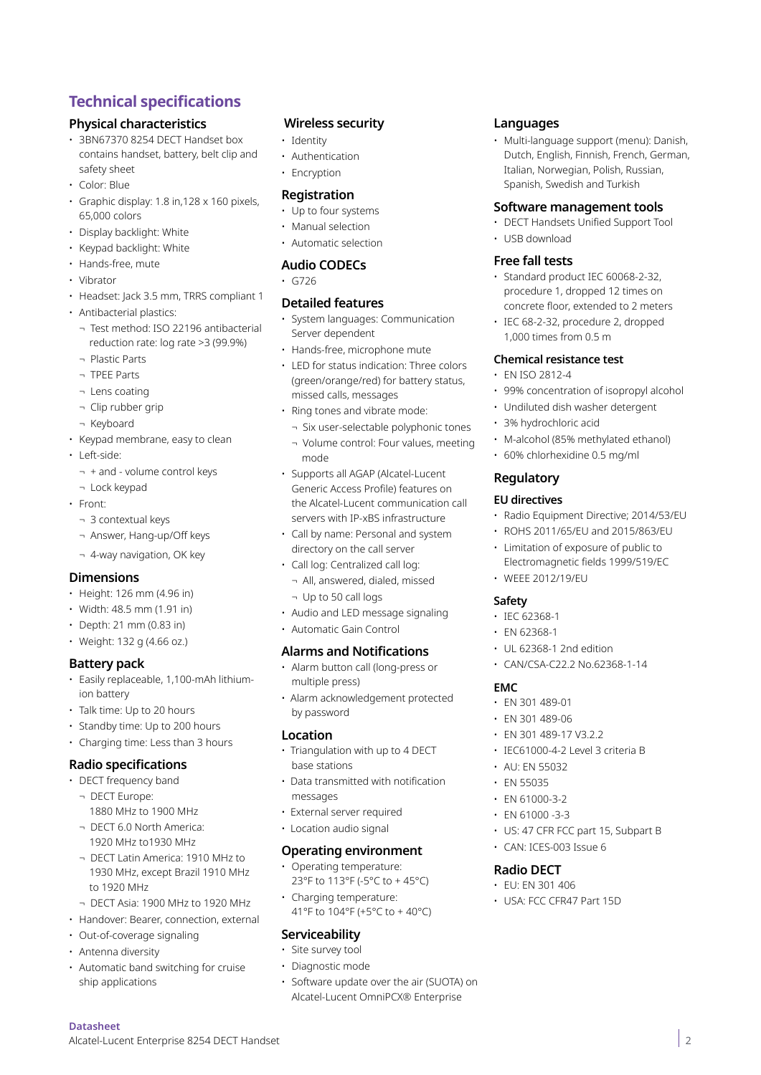## **Technical specifications**

## **Physical characteristics**

- 3BN67370 8254 DECT Handset box contains handset, battery, belt clip and safety sheet
- Color: Blue
- Graphic display: 1.8 in,128 x 160 pixels, 65,000 colors
- Display backlight: White
- Keypad backlight: White
- Hands-free, mute
- Vibrator
- Headset: Jack 3.5 mm, TRRS compliant 1
- Antibacterial plastics:
	- ¬ Test method: ISO 22196 antibacterial reduction rate: log rate >3 (99.9%)
	- ¬ Plastic Parts
	- ¬ TPEE Parts
	- ¬ Lens coating
	- ¬ Clip rubber grip
- ¬ Keyboard
- Keypad membrane, easy to clean
- Left-side:
	- ¬ + and volume control keys
- ¬ Lock keypad
- Front:
	- ¬ 3 contextual keys
	- ¬ Answer, Hang-up/Off keys
	- ¬ 4-way navigation, OK key

## **Dimensions**

- Height: 126 mm (4.96 in)
- Width: 48.5 mm (1.91 in)
- Depth: 21 mm (0.83 in)
- Weight: 132 g (4.66 oz.)

## **Battery pack**

- Easily replaceable, 1,100-mAh lithiumion battery
- Talk time: Up to 20 hours
- Standby time: Up to 200 hours
- Charging time: Less than 3 hours

## **Radio specifications**

- DECT frequency band ¬ DECT Europe:
	- 1880 MHz to 1900 MHz
	- ¬ DECT 6.0 North America: 1920 MHz to1930 MHz
	- ¬ DECT Latin America: 1910 MHz to 1930 MHz, except Brazil 1910 MHz to 1920 MHz
	- ¬ DECT Asia: 1900 MHz to 1920 MHz
- Handover: Bearer, connection, external
- Out-of-coverage signaling
- Antenna diversity

**Datasheet** 

• Automatic band switching for cruise ship applications

Alcatel-Lucent Enterprise 8254 DECT Handset

#### **Wireless security**

- Identity
- Authentication
- Encryption

#### **Registration**

- Up to four systems
- Manual selection
- Automatic selection

#### **Audio CODECs**

• G726

#### **Detailed features**

- System languages: Communication Server dependent
- Hands-free, microphone mute
- LED for status indication: Three colors (green/orange/red) for battery status, missed calls, messages
- Ring tones and vibrate mode:
	- ¬ Six user-selectable polyphonic tones ¬ Volume control: Four values, meeting mode
- Supports all AGAP (Alcatel-Lucent Generic Access Profile) features on the Alcatel-Lucent communication call servers with IP-xBS infrastructure
- Call by name: Personal and system directory on the call server
- Call log: Centralized call log:
- ¬ All, answered, dialed, missed
- ¬ Up to 50 call logs
- Audio and LED message signaling
- Automatic Gain Control

## **Alarms and Notifications**

- Alarm button call (long-press or multiple press)
- Alarm acknowledgement protected by password

## **Location**

- Triangulation with up to 4 DECT base stations
- Data transmitted with notification messages
- External server required
- Location audio signal

#### **Operating environment**

- Operating temperature: 23°F to 113°F (-5°C to + 45°C)
- Charging temperature: 41°F to 104°F (+5°C to + 40°C)

## **Serviceability**

- Site survey tool
- Diagnostic mode

#### • Software update over the air (SUOTA) on Alcatel-Lucent OmniPCX® Enterprise

## **Languages**

• Multi-language support (menu): Danish, Dutch, English, Finnish, French, German, Italian, Norwegian, Polish, Russian, Spanish, Swedish and Turkish

#### **Software management tools**

- DECT Handsets Unified Support Tool
- USB download

## **Free fall tests**

- Standard product IEC 60068-2-32, procedure 1, dropped 12 times on concrete floor, extended to 2 meters
- IEC 68-2-32, procedure 2, dropped 1,000 times from 0.5 m

#### **Chemical resistance test**

- EN ISO 2812-4
- 99% concentration of isopropyl alcohol

 $\vert$  2

- Undiluted dish washer detergent
- 3% hydrochloric acid
- M-alcohol (85% methylated ethanol)

• Radio Equipment Directive; 2014/53/EU • ROHS 2011/65/EU and 2015/863/EU • Limitation of exposure of public to Electromagnetic fields 1999/519/EC

• 60% chlorhexidine 0.5 mg/ml

## **Regulatory**

#### **EU directives**

• WEEE 2012/19/EU

• UL 62368-1 2nd edition • CAN/CSA-C22.2 No.62368-1-14

**Safety** • IEC 62368-1 • EN 62368-1

**EMC**

• EN 301 489-01 • EN 301 489-06 • EN 301 489-17 V3.2.2 • IEC61000-4-2 Level 3 criteria B

• AU: EN 55032 • EN 55035 • EN 61000-3-2  $\cdot$  EN 61000 -3-3

**Radio DECT**  • EU: EN 301 406

• US: 47 CFR FCC part 15, Subpart B

• CAN: ICES-003 Issue 6

• USA: FCC CFR47 Part 15D